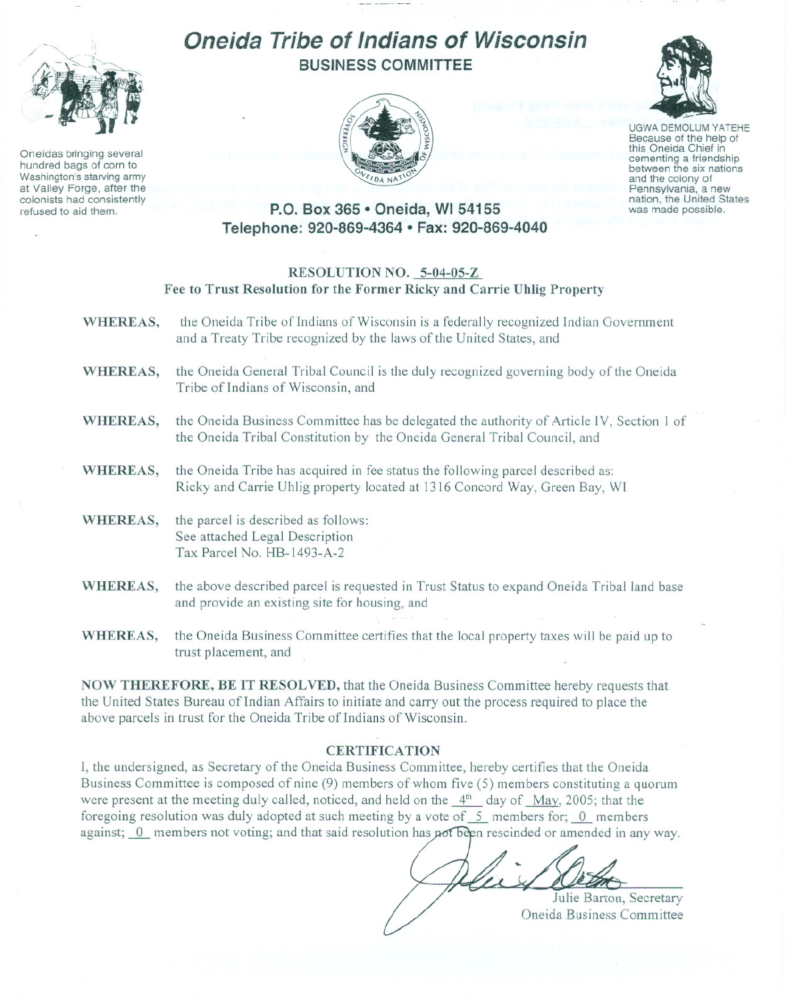

Oneidas bringing several hundred bags of corn to Washington's starving army at Valley Forge. after the colonists had consistently refused to aid them.

# **Oneida Tribe of Indians of Wisconsin BUSINESS COMMITTEE**





UGWA DEMOLUM YATEHE Because of the help of this Oneida Chief in<br>cementing a friendship between the six nations and the colony of<br>Pennsylvania, a new nation, the United States was made possible.

## **P.O. Box 365 • Oneida, WI 54155 Telephone: 920-869-4364 • Fax: 920-869-4040**

#### **RESOLUTION NO. 5-04-05-Z Fee to Trust Resolution for the Former Ricky and Carrie Uhlig Property**

- **WHEREAS,** the Oneida Tribe of Indians of Wisconsin is a federally recognized Indian Government and a Treaty Tribe recognized by the laws of the United States, and
- **WHEREAS,** the Oneida General Tribal Council is the duly recognized governing body of the Oneida Tribe of Indians of Wisconsin, and
- **WHEREAS,** the Oneida Business Committee has be delegated the authority of Article IV, Section 1 of the Oneida Tribal Constitution by the Oneida General Tribal Council, and
- **WHEREAS,** the Oneida Tribe has acquired in fee status the following parcel described as: Ricky and Carrie Uhlig property located at 1316 Concord Way, Green Bay, **WI**
- **WHEREAS,** the parcel is described as follows: See attached Legal Description Tax Parcel No. HB-1493-A-2
- **WHEREAS,** the above described parcel is requested in Trust Status to expand Oneida Tribal land base and provide an existing site for housing, and
- **WHEREAS,** the Oneida Business Committee certifies that the local property taxes will be paid up to trust placement, and

**NOW THEREFORE, BE IT RESOLVED,** that the Oneida Business Committee hereby requests that the United States Bureau of Indian Affairs to initiate and carry out the process required to place the above parcels in trust for the Oneida Tribe of Indians of Wisconsin.

### **CERTIFICATION**

I, the undersigned, as Secretary of the Oneida Business Committee, hereby certifies that the Oneida Business Committee is composed of nine (9) members of whom five (5) members constituting a quorum were present at the meeting duly called, noticed, and held on the  $4<sup>th</sup>$  day of May, 2005; that the foregoing resolution was duly adopted at such meeting by a vote of  $\overline{5}$  members for;  $\overline{0}$  members against;  $\overline{0}$  members not voting; and that said resolution has not been rescinded or amended in any way.

Julie Barton, Secretary Oneida Business Committee